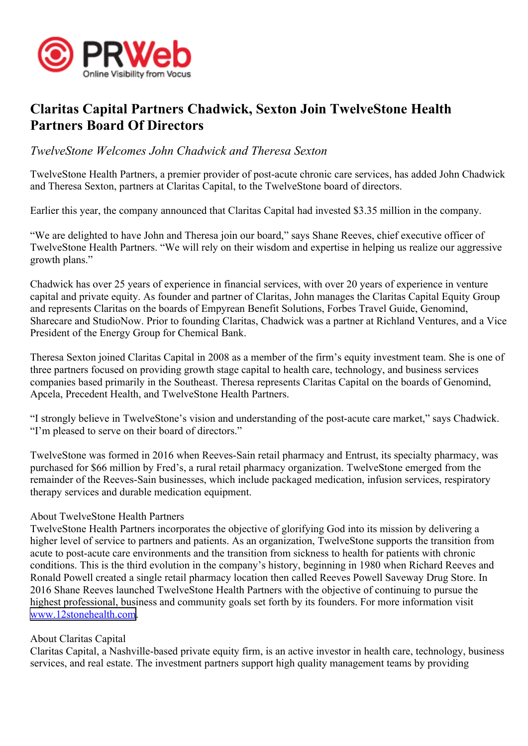

## **Claritas Capital Partners Chadwick, Sexton Join TwelveStone Health Partners Board Of Directors**

*TwelveStone Welcomes John Chadwick and Theresa Sexton*

TwelveStone Health Partners, <sup>a</sup> premier provider of post-acute chronic care services, has added John Chadwick and Theresa Sexton, partners at Claritas Capital, to the TwelveStone board of directors.

Earlier this year, the company announced that Claritas Capital had invested \$3.35 million in the company.

"We are delighted to have John and Theresa join our board," says Shane Reeves, chief executive officer of TwelveStone Health Partners. "We will rely on their wisdom and expertise in helping us realize our aggressive growth plans."

Chadwick has over 25 years of experience in financial services, with over 20 years of experience in venture capital and private equity. As founder and partner of Claritas, John manages the Claritas Capital Equity Group and represents Claritas on the boards of Empyrean Benefit Solutions, Forbes Travel Guide, Genomind, Sharecare and StudioNow. Prior to founding Claritas, Chadwick was <sup>a</sup> partner at Richland Ventures, and <sup>a</sup> Vice President of the Energy Group for Chemical Bank.

Theresa Sexton joined Claritas Capital in 2008 as <sup>a</sup> member of the firm's equity investment team. She is one of three partners focused on providing growth stage capital to health care, technology, and business services companies based primarily in the Southeast. Theresa represents Claritas Capital on the boards of Genomind, Apcela, Precedent Health, and TwelveStone Health Partners.

"I strongly believe in TwelveStone's vision and understanding of the post-acute care market," says Chadwick. "I'm pleased to serve on their board of directors."

TwelveStone was formed in 2016 when Reeves-Sain retail pharmacy and Entrust, its specialty pharmacy, was purchased for \$66 million by Fred's, <sup>a</sup> rural retail pharmacy organization. TwelveStone emerged from the remainder of the Reeves-Sain businesses, which include packaged medication, infusion services, respiratory therapy services and durable medication equipment.

## About TwelveStone Health Partners

TwelveStone Health Partners incorporates the objective of glorifying God into its mission by delivering <sup>a</sup> higher level of service to partners and patients. As an organization, TwelveStone supports the transition from acute to post-acute care environments and the transition from sickness to health for patients with chronic conditions. This is the third evolution in the company's history, beginning in 1980 when Richard Reeves and Ronald Powell created <sup>a</sup> single retail pharmacy location then called Reeves Powell Saveway Drug Store. In 2016 Shane Reeves launched TwelveStone Health Partners with the objective of continuing to pursue the highest professional, business and community goals set forth by its founders. For more information visit [www.12stonehealth.com](http://www.12stonehealth.com).

## About Claritas Capital

Claritas Capital, <sup>a</sup> Nashville-based private equity firm, is an active investor in health care, technology, business services, and real estate. The investment partners suppor<sup>t</sup> high quality managemen<sup>t</sup> teams by providing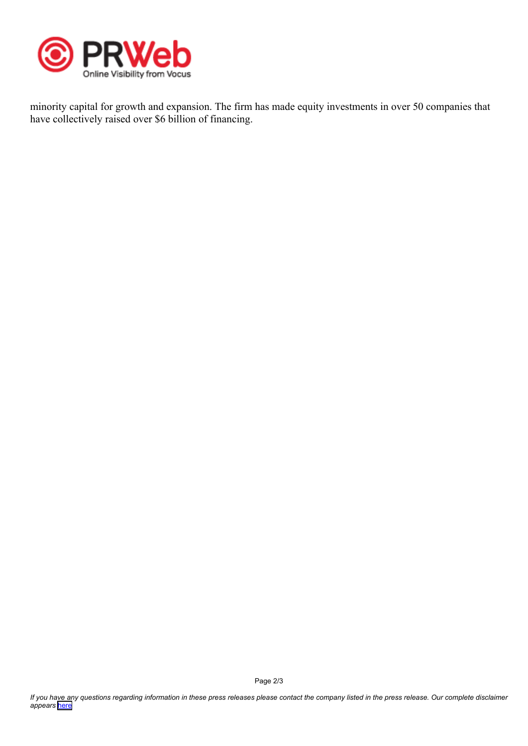

minority capital for growth and expansion. The firm has made equity investments in over 50 companies that have collectively raised over \$6 billion of financing.